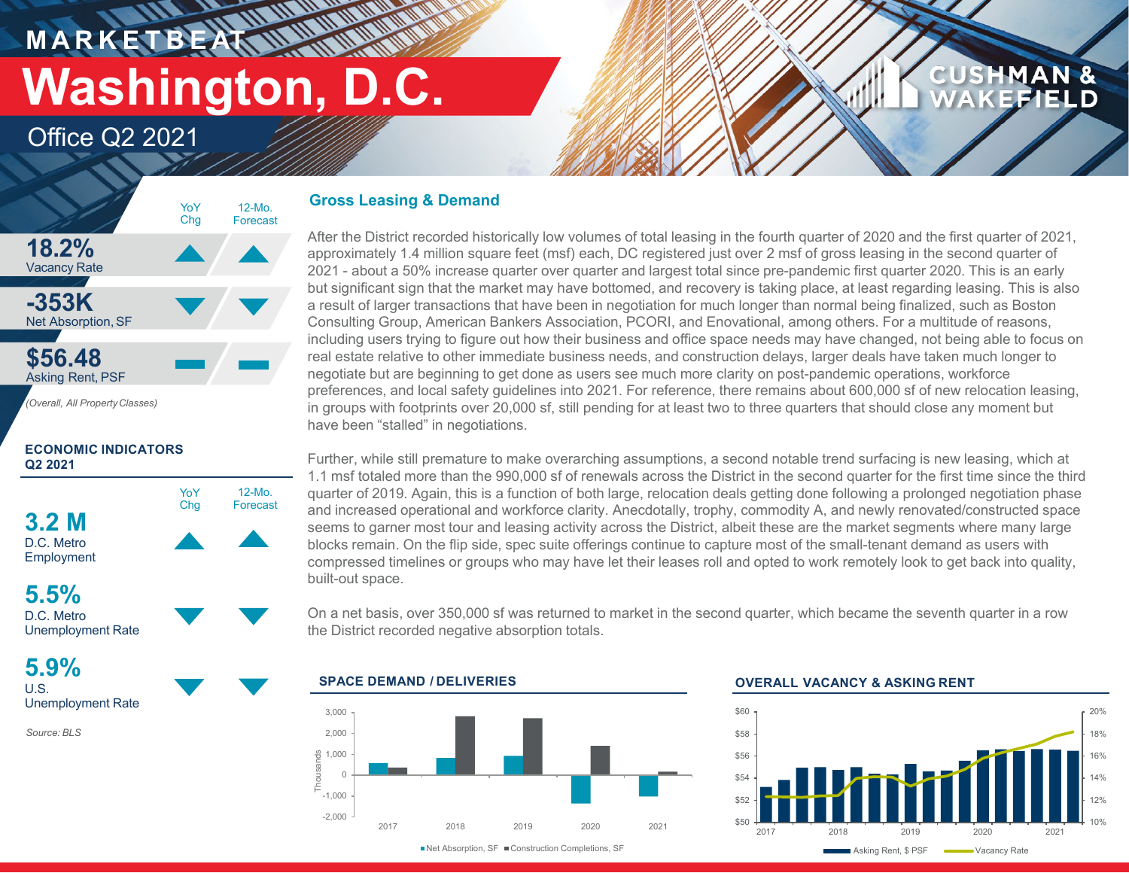**M A R K E T B E AT**

# **Washington, D.C.**

 $U$  and the  $U$ 

**IT WANTED WARRANT** 

Office Q2 2021



### **ECONOMIC INDICATORS Q2 2021**



**5.9%** U.S. Unemployment Rate

*Source: BLS*

### **Gross Leasing & Demand**

After the District recorded historically low volumes of total leasing in the fourth quarter of 2020 and the first quarter of 2021, approximately 1.4 million square feet (msf) each, DC registered just over 2 msf of gross leasing in the second quarter of 2021 - about a 50% increase quarter over quarter and largest total since pre-pandemic first quarter 2020. This is an early but significant sign that the market may have bottomed, and recovery is taking place, at least regarding leasing. This is also a result of larger transactions that have been in negotiation for much longer than normal being finalized, such as Boston Consulting Group, American Bankers Association, PCORI, and Enovational, among others. For a multitude of reasons, including users trying to figure out how their business and office space needs may have changed, not being able to focus on real estate relative to other immediate business needs, and construction delays, larger deals have taken much longer to negotiate but are beginning to get done as users see much more clarity on post-pandemic operations, workforce preferences, and local safety guidelines into 2021. For reference, there remains about 600,000 sf of new relocation leasing, in groups with footprints over 20,000 sf, still pending for at least two to three quarters that should close any moment but have been "stalled" in negotiations.

Further, while still premature to make overarching assumptions, a second notable trend surfacing is new leasing, which at 1.1 msf totaled more than the 990,000 sf of renewals across the District in the second quarter for the first time since the third quarter of 2019. Again, this is a function of both large, relocation deals getting done following a prolonged negotiation phase and increased operational and workforce clarity. Anecdotally, trophy, commodity A, and newly renovated/constructed space seems to garner most tour and leasing activity across the District, albeit these are the market segments where many large blocks remain. On the flip side, spec suite offerings continue to capture most of the small-tenant demand as users with compressed timelines or groups who may have let their leases roll and opted to work remotely look to get back into quality, built-out space.

On a net basis, over 350,000 sf was returned to market in the second quarter, which became the seventh quarter in a row the District recorded negative absorption totals.



### **OVERALL VACANCY & ASKING RENT**



**CUSHMAN & WAKEFIELD**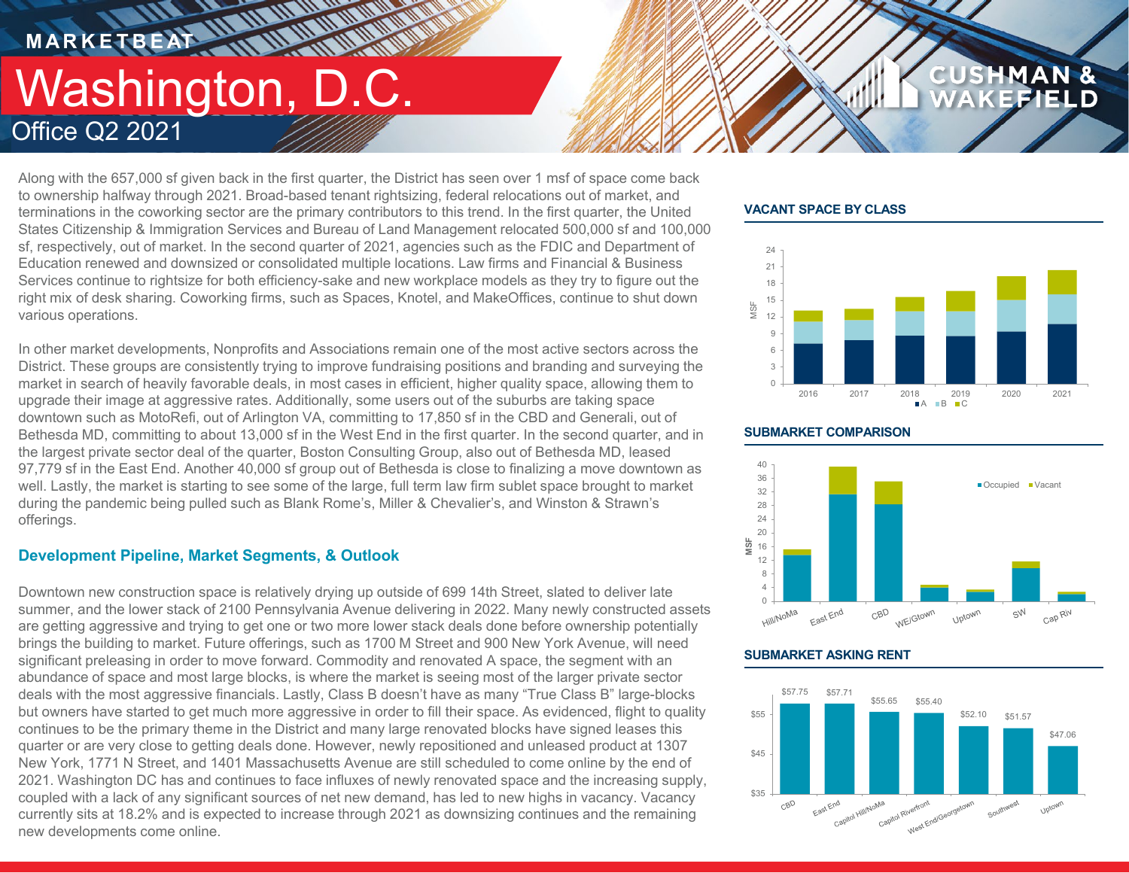### **MARKETBEAT 11 11 11 11 11 11 TETTE AN ANTIQUATE** Washington, D.C. Office Q2 2021

Along with the 657,000 sf given back in the first quarter, the District has seen over 1 msf of space come back to ownership halfway through 2021. Broad-based tenant rightsizing, federal relocations out of market, and terminations in the coworking sector are the primary contributors to this trend. In the first quarter, the United States Citizenship & Immigration Services and Bureau of Land Management relocated 500,000 sf and 100,000 sf, respectively, out of market. In the second quarter of 2021, agencies such as the FDIC and Department of Education renewed and downsized or consolidated multiple locations. Law firms and Financial & Business Services continue to rightsize for both efficiency-sake and new workplace models as they try to figure out the right mix of desk sharing. Coworking firms, such as Spaces, Knotel, and MakeOffices, continue to shut down various operations.

In other market developments, Nonprofits and Associations remain one of the most active sectors across the District. These groups are consistently trying to improve fundraising positions and branding and surveying the market in search of heavily favorable deals, in most cases in efficient, higher quality space, allowing them to upgrade their image at aggressive rates. Additionally, some users out of the suburbs are taking space downtown such as MotoRefi, out of Arlington VA, committing to 17,850 sf in the CBD and Generali, out of Bethesda MD, committing to about 13,000 sf in the West End in the first quarter. In the second quarter, and in the largest private sector deal of the quarter, Boston Consulting Group, also out of Bethesda MD, leased 97,779 sf in the East End. Another 40,000 sf group out of Bethesda is close to finalizing a move downtown as well. Lastly, the market is starting to see some of the large, full term law firm sublet space brought to market during the pandemic being pulled such as Blank Rome's, Miller & Chevalier's, and Winston & Strawn's offerings.

### **Development Pipeline, Market Segments, & Outlook**

Downtown new construction space is relatively drying up outside of 699 14th Street, slated to deliver late summer, and the lower stack of 2100 Pennsylvania Avenue delivering in 2022. Many newly constructed assets are getting aggressive and trying to get one or two more lower stack deals done before ownership potentially brings the building to market. Future offerings, such as 1700 M Street and 900 New York Avenue, will need significant preleasing in order to move forward. Commodity and renovated A space, the segment with an abundance of space and most large blocks, is where the market is seeing most of the larger private sector deals with the most aggressive financials. Lastly, Class B doesn't have as many "True Class B" large-blocks but owners have started to get much more aggressive in order to fill their space. As evidenced, flight to quality continues to be the primary theme in the District and many large renovated blocks have signed leases this quarter or are very close to getting deals done. However, newly repositioned and unleased product at 1307 New York, 1771 N Street, and 1401 Massachusetts Avenue are still scheduled to come online by the end of 2021. Washington DC has and continues to face influxes of newly renovated space and the increasing supply, coupled with a lack of any significant sources of net new demand, has led to new highs in vacancy. Vacancy currently sits at 18.2% and is expected to increase through 2021 as downsizing continues and the remaining new developments come online.

### **VACANT SPACE BY CLASS**



**CUSHMAN &** 

EFIELD

### **SUBMARKET COMPARISON**



### **SUBMARKET ASKING RENT**

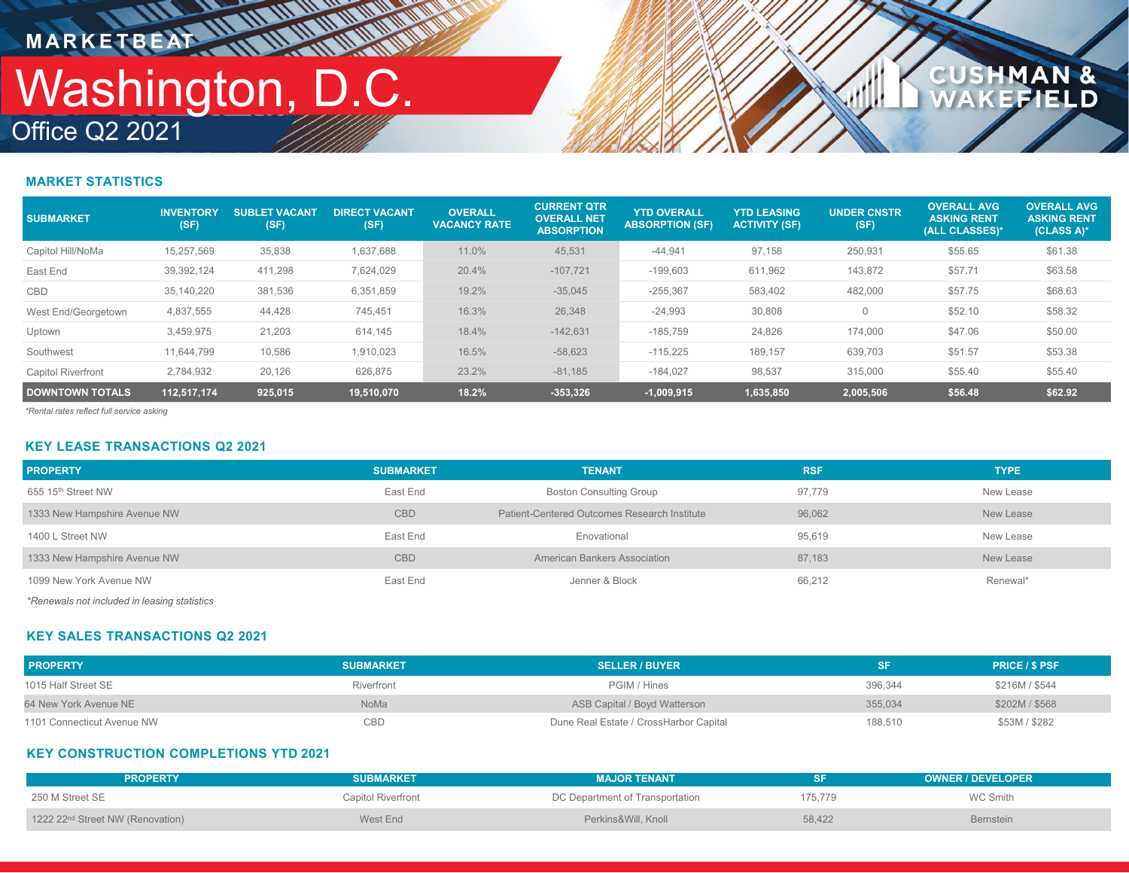## Office Q2 2021 Washington, D.C. **MARKETBEAT IN IN IN INCHES**

### **CUSHMAN &<br>WAKEFIELD**

### **MARKET STATISTICS**

| <b>SUBMARKET</b>          | <b>INVENTORY</b><br>(SF) | <b>SUBLET VACANT</b><br>(SF) | <b>DIRECT VACANT</b><br>(SF) | <b>OVERALL</b><br><b>VACANCY RATE</b> | <b>CURRENT QTR</b><br><b>OVERALL NET</b><br><b>ABSORPTION</b> | <b>YTD OVERALL</b><br><b>ABSORPTION (SF)</b> | <b>YTD LEASING</b><br><b>ACTIVITY (SF)</b> | <b>UNDER CNSTR</b><br>(SF) | <b>OVERALL AVG</b><br><b>ASKING RENT</b><br>(ALL CLASSES)* | <b>OVERALL AVG</b><br><b>ASKING RENT</b><br>(CLASS A)* |
|---------------------------|--------------------------|------------------------------|------------------------------|---------------------------------------|---------------------------------------------------------------|----------------------------------------------|--------------------------------------------|----------------------------|------------------------------------------------------------|--------------------------------------------------------|
| Capitol Hill/NoMa         | 15.257.569               | 35,838                       | 1,637,688                    | 11.0%                                 | 45,531                                                        | $-44,941$                                    | 97,158                                     | 250,931                    | \$55.65                                                    | \$61.38                                                |
| East End                  | 39,392,124               | 411,298                      | 7,624,029                    | 20.4%                                 | $-107.721$                                                    | $-199,603$                                   | 611,962                                    | 143,872                    | \$57.71                                                    | \$63.58                                                |
| CBD                       | 35.140.220               | 381,536                      | 6,351,859                    | 19.2%                                 | $-35.045$                                                     | $-255.367$                                   | 583,402                                    | 482,000                    | \$57.75                                                    | \$68.63                                                |
| West End/Georgetown       | 4,837,555                | 44,428                       | 745,451                      | 16.3%                                 | 26,348                                                        | $-24,993$                                    | 30,808                                     | $\Omega$                   | \$52.10                                                    | \$58.32                                                |
| Uptown                    | 3,459,975                | 21,203                       | 614,145                      | 18.4%                                 | $-142.631$                                                    | $-185,759$                                   | 24,826                                     | 174,000                    | \$47.06                                                    | \$50.00                                                |
| Southwest                 | 11.644.799               | 10,586                       | 1,910,023                    | 16.5%                                 | $-58.623$                                                     | $-115.225$                                   | 189,157                                    | 639.703                    | \$51.57                                                    | \$53.38                                                |
| <b>Capitol Riverfront</b> | 2,784,932                | 20,126                       | 626.875                      | 23.2%                                 | $-81.185$                                                     | $-184.027$                                   | 98,537                                     | 315,000                    | \$55.40                                                    | \$55.40                                                |
| <b>DOWNTOWN TOTALS</b>    | 112,517,174              | 925.015                      | 19,510,070                   | 18.2%                                 | $-353.326$                                                    | $-1,009,915$                                 | 1,635,850                                  | 2,005,506                  | \$56.48                                                    | \$62.92                                                |

*\*Rental rates reflect full service asking*

### **KEY LEASE TRANSACTIONS Q2 2021**

| <b>PROPERTY</b>                                | <b>SUBMARKET</b> | <b>TENANT</b>                                | <b>RSF</b> | <b>TYPE</b> |
|------------------------------------------------|------------------|----------------------------------------------|------------|-------------|
| 655 15 <sup>th</sup> Street NW                 | East End         | <b>Boston Consulting Group</b>               | 97,779     | New Lease   |
| 1333 New Hampshire Avenue NW                   | <b>CBD</b>       | Patient-Centered Outcomes Research Institute | 96,062     | New Lease   |
| 1400 L Street NW                               | East End         | Enovational                                  | 95,619     | New Lease   |
| 1333 New Hampshire Avenue NW                   | <b>CBD</b>       | American Bankers Association                 | 87,183     | New Lease   |
| 1099 New York Avenue NW                        | East End         | Jenner & Block                               | 66,212     | Renewal*    |
| *Denourale net included in legation statistice |                  |                                              |            |             |

*\*Renewals not included in leasing statistics*

### **KEY SALES TRANSACTIONS Q2 2021**

| <b>PROPERTY</b>            | <b>SUBMARKET</b> | <b>SELLER / BUYER</b>                  |         | <b>PRICE / \$ PSF</b> |
|----------------------------|------------------|----------------------------------------|---------|-----------------------|
| 1015 Half Street SE        | Riverfront       | PGIM / Hines                           | 396.344 | \$216M / \$544        |
| 64 New York Avenue NE      | <b>NoMa</b>      | ASB Capital / Boyd Watterson           | 355.034 | \$202M / \$568        |
| 1101 Connecticut Avenue NW | CBD              | Dune Real Estate / CrossHarbor Capital | 188,510 | \$53M / \$282         |

### **KEY CONSTRUCTION COMPLETIONS YTD 2021**

| <b>PROPERTY</b>                              | <b>SUBMARKET</b>   | <b>MAJOR TENANT</b>             | SF      | <b>OWNER / DEVELOPER</b> |
|----------------------------------------------|--------------------|---------------------------------|---------|--------------------------|
| 250 M Street SE                              | Capitol Riverfront | DC Department of Transportation | 175,779 | WC Smith                 |
| 1222 22 <sup>nd</sup> Street NW (Renovation) | West End           | Perkins&Will, Knoll             | 58.422  | Bernstein                |